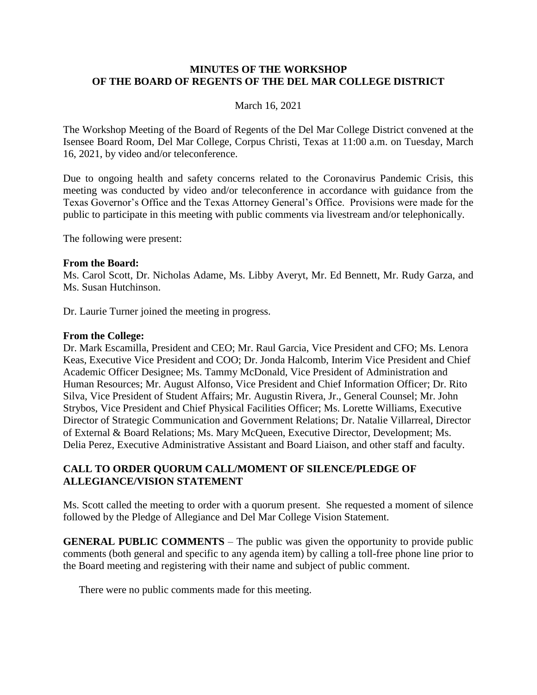### **MINUTES OF THE WORKSHOP OF THE BOARD OF REGENTS OF THE DEL MAR COLLEGE DISTRICT**

### March 16, 2021

The Workshop Meeting of the Board of Regents of the Del Mar College District convened at the Isensee Board Room, Del Mar College, Corpus Christi, Texas at 11:00 a.m. on Tuesday, March 16, 2021, by video and/or teleconference.

Due to ongoing health and safety concerns related to the Coronavirus Pandemic Crisis, this meeting was conducted by video and/or teleconference in accordance with guidance from the Texas Governor's Office and the Texas Attorney General's Office. Provisions were made for the public to participate in this meeting with public comments via livestream and/or telephonically.

The following were present:

#### **From the Board:**

Ms. Carol Scott, Dr. Nicholas Adame, Ms. Libby Averyt, Mr. Ed Bennett, Mr. Rudy Garza, and Ms. Susan Hutchinson.

Dr. Laurie Turner joined the meeting in progress.

### **From the College:**

Dr. Mark Escamilla, President and CEO; Mr. Raul Garcia, Vice President and CFO; Ms. Lenora Keas, Executive Vice President and COO; Dr. Jonda Halcomb, Interim Vice President and Chief Academic Officer Designee; Ms. Tammy McDonald, Vice President of Administration and Human Resources; Mr. August Alfonso, Vice President and Chief Information Officer; Dr. Rito Silva, Vice President of Student Affairs; Mr. Augustin Rivera, Jr., General Counsel; Mr. John Strybos, Vice President and Chief Physical Facilities Officer; Ms. Lorette Williams, Executive Director of Strategic Communication and Government Relations; Dr. Natalie Villarreal, Director of External & Board Relations; Ms. Mary McQueen, Executive Director, Development; Ms. Delia Perez, Executive Administrative Assistant and Board Liaison, and other staff and faculty.

## **CALL TO ORDER QUORUM CALL/MOMENT OF SILENCE/PLEDGE OF ALLEGIANCE/VISION STATEMENT**

Ms. Scott called the meeting to order with a quorum present. She requested a moment of silence followed by the Pledge of Allegiance and Del Mar College Vision Statement.

**GENERAL PUBLIC COMMENTS** – The public was given the opportunity to provide public comments (both general and specific to any agenda item) by calling a toll-free phone line prior to the Board meeting and registering with their name and subject of public comment.

There were no public comments made for this meeting.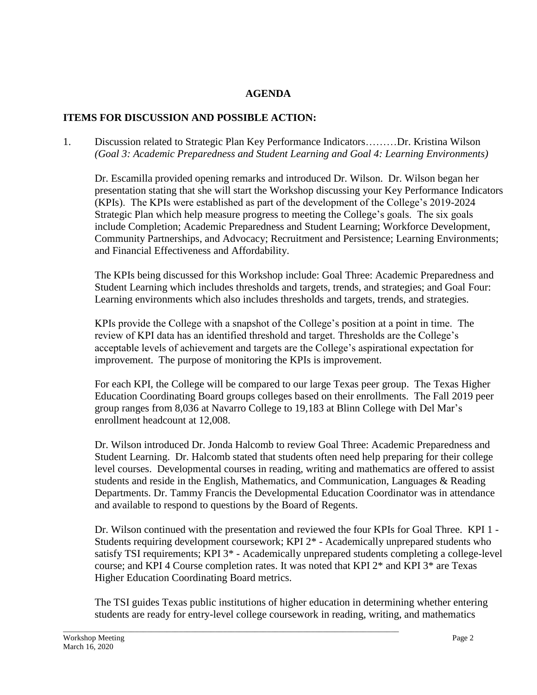# **AGENDA**

# **ITEMS FOR DISCUSSION AND POSSIBLE ACTION:**

1. Discussion related to Strategic Plan Key Performance Indicators………Dr. Kristina Wilson *(Goal 3: Academic Preparedness and Student Learning and Goal 4: Learning Environments)*

Dr. Escamilla provided opening remarks and introduced Dr. Wilson. Dr. Wilson began her presentation stating that she will start the Workshop discussing your Key Performance Indicators (KPIs). The KPIs were established as part of the development of the College's 2019-2024 Strategic Plan which help measure progress to meeting the College's goals. The six goals include Completion; Academic Preparedness and Student Learning; Workforce Development, Community Partnerships, and Advocacy; Recruitment and Persistence; Learning Environments; and Financial Effectiveness and Affordability.

The KPIs being discussed for this Workshop include: Goal Three: Academic Preparedness and Student Learning which includes thresholds and targets, trends, and strategies; and Goal Four: Learning environments which also includes thresholds and targets, trends, and strategies.

KPIs provide the College with a snapshot of the College's position at a point in time. The review of KPI data has an identified threshold and target. Thresholds are the College's acceptable levels of achievement and targets are the College's aspirational expectation for improvement. The purpose of monitoring the KPIs is improvement.

For each KPI, the College will be compared to our large Texas peer group. The Texas Higher Education Coordinating Board groups colleges based on their enrollments. The Fall 2019 peer group ranges from 8,036 at Navarro College to 19,183 at Blinn College with Del Mar's enrollment headcount at 12,008.

Dr. Wilson introduced Dr. Jonda Halcomb to review Goal Three: Academic Preparedness and Student Learning. Dr. Halcomb stated that students often need help preparing for their college level courses. Developmental courses in reading, writing and mathematics are offered to assist students and reside in the English, Mathematics, and Communication, Languages & Reading Departments. Dr. Tammy Francis the Developmental Education Coordinator was in attendance and available to respond to questions by the Board of Regents.

Dr. Wilson continued with the presentation and reviewed the four KPIs for Goal Three. KPI 1 - Students requiring development coursework; KPI 2\* - Academically unprepared students who satisfy TSI requirements; KPI 3\* - Academically unprepared students completing a college-level course; and KPI 4 Course completion rates. It was noted that KPI 2\* and KPI 3\* are Texas Higher Education Coordinating Board metrics.

The TSI guides Texas public institutions of higher education in determining whether entering students are ready for entry-level college coursework in reading, writing, and mathematics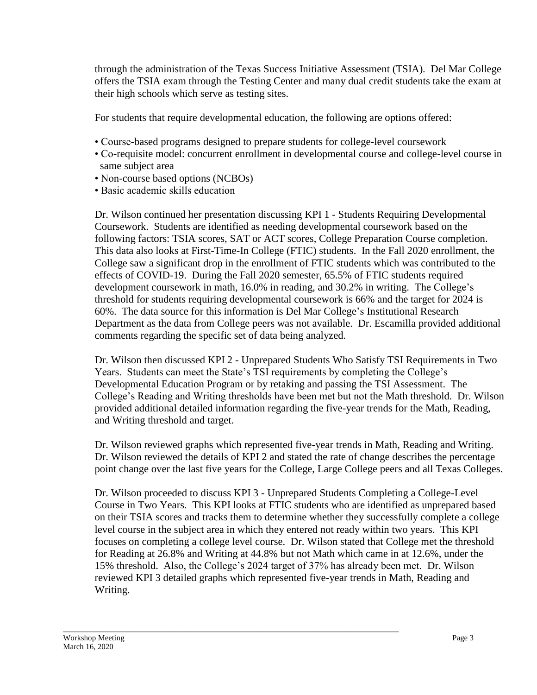through the administration of the Texas Success Initiative Assessment (TSIA). Del Mar College offers the TSIA exam through the Testing Center and many dual credit students take the exam at their high schools which serve as testing sites.

For students that require developmental education, the following are options offered:

- Course-based programs designed to prepare students for college-level coursework
- Co-requisite model: concurrent enrollment in developmental course and college-level course in same subject area
- Non-course based options (NCBOs)
- Basic academic skills education

Dr. Wilson continued her presentation discussing KPI 1 - Students Requiring Developmental Coursework. Students are identified as needing developmental coursework based on the following factors: TSIA scores, SAT or ACT scores, College Preparation Course completion. This data also looks at First-Time-In College (FTIC) students. In the Fall 2020 enrollment, the College saw a significant drop in the enrollment of FTIC students which was contributed to the effects of COVID-19. During the Fall 2020 semester, 65.5% of FTIC students required development coursework in math, 16.0% in reading, and 30.2% in writing. The College's threshold for students requiring developmental coursework is 66% and the target for 2024 is 60%. The data source for this information is Del Mar College's Institutional Research Department as the data from College peers was not available. Dr. Escamilla provided additional comments regarding the specific set of data being analyzed.

Dr. Wilson then discussed KPI 2 - Unprepared Students Who Satisfy TSI Requirements in Two Years. Students can meet the State's TSI requirements by completing the College's Developmental Education Program or by retaking and passing the TSI Assessment. The College's Reading and Writing thresholds have been met but not the Math threshold. Dr. Wilson provided additional detailed information regarding the five-year trends for the Math, Reading, and Writing threshold and target.

Dr. Wilson reviewed graphs which represented five-year trends in Math, Reading and Writing. Dr. Wilson reviewed the details of KPI 2 and stated the rate of change describes the percentage point change over the last five years for the College, Large College peers and all Texas Colleges.

Dr. Wilson proceeded to discuss KPI 3 - Unprepared Students Completing a College-Level Course in Two Years. This KPI looks at FTIC students who are identified as unprepared based on their TSIA scores and tracks them to determine whether they successfully complete a college level course in the subject area in which they entered not ready within two years. This KPI focuses on completing a college level course. Dr. Wilson stated that College met the threshold for Reading at 26.8% and Writing at 44.8% but not Math which came in at 12.6%, under the 15% threshold. Also, the College's 2024 target of 37% has already been met. Dr. Wilson reviewed KPI 3 detailed graphs which represented five-year trends in Math, Reading and Writing.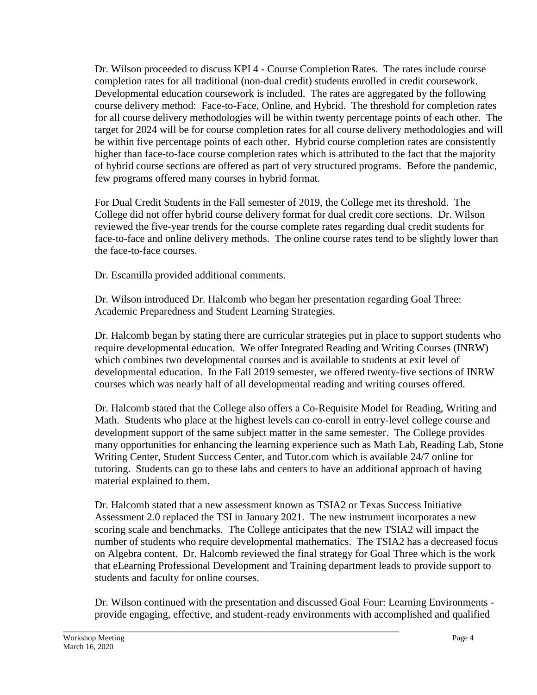Dr. Wilson proceeded to discuss KPI 4 - Course Completion Rates. The rates include course completion rates for all traditional (non-dual credit) students enrolled in credit coursework. Developmental education coursework is included. The rates are aggregated by the following course delivery method: Face-to-Face, Online, and Hybrid. The threshold for completion rates for all course delivery methodologies will be within twenty percentage points of each other. The target for 2024 will be for course completion rates for all course delivery methodologies and will be within five percentage points of each other. Hybrid course completion rates are consistently higher than face-to-face course completion rates which is attributed to the fact that the majority of hybrid course sections are offered as part of very structured programs. Before the pandemic, few programs offered many courses in hybrid format.

For Dual Credit Students in the Fall semester of 2019, the College met its threshold. The College did not offer hybrid course delivery format for dual credit core sections. Dr. Wilson reviewed the five-year trends for the course complete rates regarding dual credit students for face-to-face and online delivery methods. The online course rates tend to be slightly lower than the face-to-face courses.

Dr. Escamilla provided additional comments.

Dr. Wilson introduced Dr. Halcomb who began her presentation regarding Goal Three: Academic Preparedness and Student Learning Strategies.

Dr. Halcomb began by stating there are curricular strategies put in place to support students who require developmental education. We offer Integrated Reading and Writing Courses (INRW) which combines two developmental courses and is available to students at exit level of developmental education. In the Fall 2019 semester, we offered twenty-five sections of INRW courses which was nearly half of all developmental reading and writing courses offered.

Dr. Halcomb stated that the College also offers a Co-Requisite Model for Reading, Writing and Math. Students who place at the highest levels can co-enroll in entry-level college course and development support of the same subject matter in the same semester. The College provides many opportunities for enhancing the learning experience such as Math Lab, Reading Lab, Stone Writing Center, Student Success Center, and Tutor.com which is available 24/7 online for tutoring. Students can go to these labs and centers to have an additional approach of having material explained to them.

Dr. Halcomb stated that a new assessment known as TSIA2 or Texas Success Initiative Assessment 2.0 replaced the TSI in January 2021. The new instrument incorporates a new scoring scale and benchmarks. The College anticipates that the new TSIA2 will impact the number of students who require developmental mathematics. The TSIA2 has a decreased focus on Algebra content. Dr. Halcomb reviewed the final strategy for Goal Three which is the work that eLearning Professional Development and Training department leads to provide support to students and faculty for online courses.

Dr. Wilson continued with the presentation and discussed Goal Four: Learning Environments provide engaging, effective, and student-ready environments with accomplished and qualified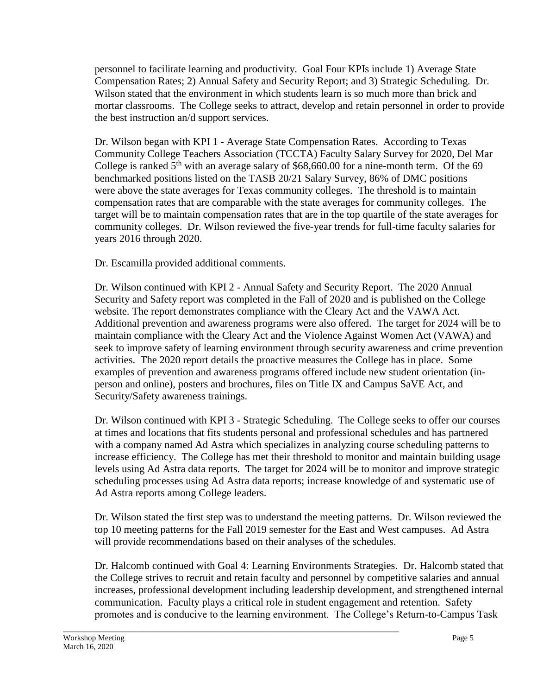personnel to facilitate learning and productivity. Goal Four KPIs include 1) Average State Compensation Rates; 2) Annual Safety and Security Report; and 3) Strategic Scheduling. Dr. Wilson stated that the environment in which students learn is so much more than brick and mortar classrooms. The College seeks to attract, develop and retain personnel in order to provide the best instruction an/d support services.

Dr. Wilson began with KPI 1 - Average State Compensation Rates. According to Texas Community College Teachers Association (TCCTA) Faculty Salary Survey for 2020, Del Mar College is ranked  $5<sup>th</sup>$  with an average salary of \$68,660.00 for a nine-month term. Of the 69 benchmarked positions listed on the TASB 20/21 Salary Survey, 86% of DMC positions were above the state averages for Texas community colleges. The threshold is to maintain compensation rates that are comparable with the state averages for community colleges. The target will be to maintain compensation rates that are in the top quartile of the state averages for community colleges. Dr. Wilson reviewed the five-year trends for full-time faculty salaries for years 2016 through 2020.

Dr. Escamilla provided additional comments.

Dr. Wilson continued with KPI 2 - Annual Safety and Security Report. The 2020 Annual Security and Safety report was completed in the Fall of 2020 and is published on the College website. The report demonstrates compliance with the Cleary Act and the VAWA Act. Additional prevention and awareness programs were also offered. The target for 2024 will be to maintain compliance with the Cleary Act and the Violence Against Women Act (VAWA) and seek to improve safety of learning environment through security awareness and crime prevention activities. The 2020 report details the proactive measures the College has in place. Some examples of prevention and awareness programs offered include new student orientation (inperson and online), posters and brochures, files on Title IX and Campus SaVE Act, and Security/Safety awareness trainings.

Dr. Wilson continued with KPI 3 - Strategic Scheduling. The College seeks to offer our courses at times and locations that fits students personal and professional schedules and has partnered with a company named Ad Astra which specializes in analyzing course scheduling patterns to increase efficiency. The College has met their threshold to monitor and maintain building usage levels using Ad Astra data reports. The target for 2024 will be to monitor and improve strategic scheduling processes using Ad Astra data reports; increase knowledge of and systematic use of Ad Astra reports among College leaders.

Dr. Wilson stated the first step was to understand the meeting patterns. Dr. Wilson reviewed the top 10 meeting patterns for the Fall 2019 semester for the East and West campuses. Ad Astra will provide recommendations based on their analyses of the schedules.

Dr. Halcomb continued with Goal 4: Learning Environments Strategies. Dr. Halcomb stated that the College strives to recruit and retain faculty and personnel by competitive salaries and annual increases, professional development including leadership development, and strengthened internal communication. Faculty plays a critical role in student engagement and retention. Safety promotes and is conducive to the learning environment. The College's Return-to-Campus Task